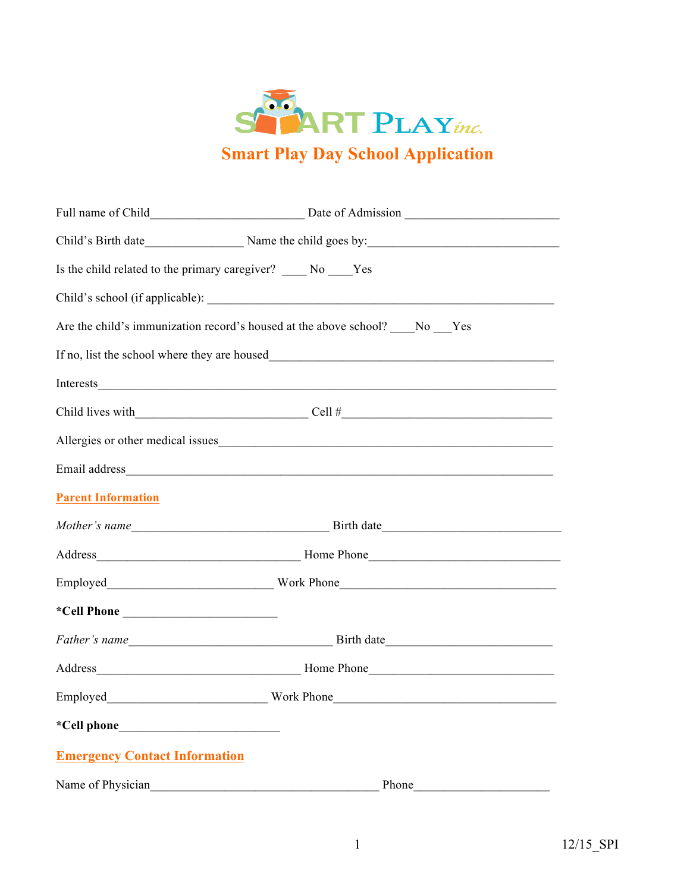

|                                                                          | Child's Birth date Name the child goes by:                                              |
|--------------------------------------------------------------------------|-----------------------------------------------------------------------------------------|
| Is the child related to the primary caregiver? _____ No _____Yes         |                                                                                         |
|                                                                          |                                                                                         |
| Are the child's immunization record's housed at the above school? No Yes |                                                                                         |
|                                                                          |                                                                                         |
| Interests                                                                | <u> 1989 - Johann Stoff, amerikansk politiker (d. 1989)</u>                             |
|                                                                          | Child lives with $\_\_\_\_\_\_\_\_\_\_\_\_$ Cell # $\_\_\_\_\_\_\_\_\_\_\_\_\_\_\_\_\_$ |
|                                                                          | Allergies or other medical issues                                                       |
|                                                                          |                                                                                         |
| <b>Parent Information</b>                                                |                                                                                         |
|                                                                          |                                                                                         |
|                                                                          |                                                                                         |
|                                                                          |                                                                                         |
|                                                                          |                                                                                         |
|                                                                          |                                                                                         |
|                                                                          |                                                                                         |
|                                                                          |                                                                                         |
|                                                                          |                                                                                         |
| <b>Emergency Contact Information</b>                                     |                                                                                         |
| Name of Physician                                                        | Phone                                                                                   |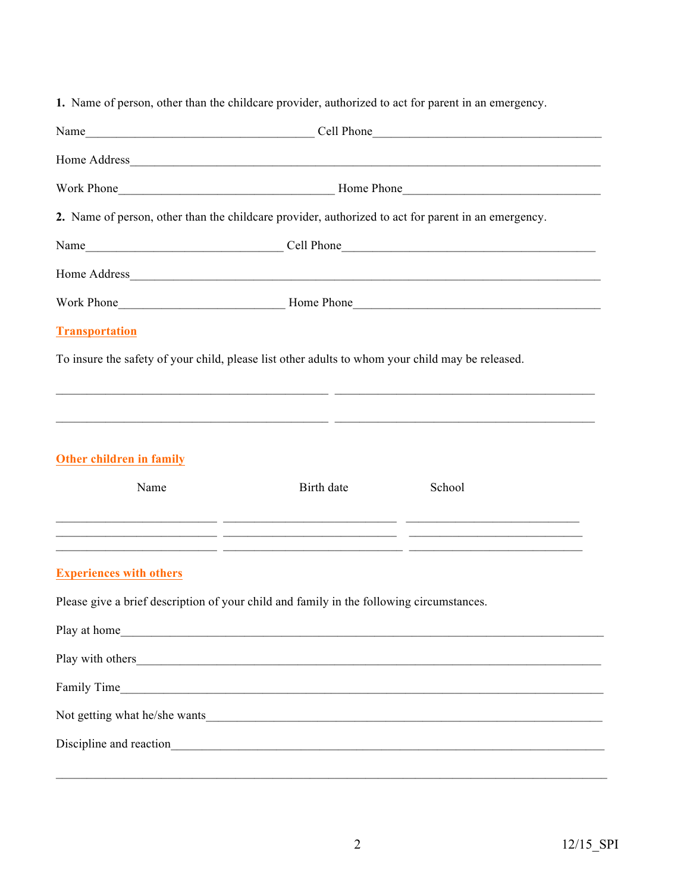|  |  |  |  |  | 1. Name of person, other than the childcare provider, authorized to act for parent in an emergency. |
|--|--|--|--|--|-----------------------------------------------------------------------------------------------------|
|--|--|--|--|--|-----------------------------------------------------------------------------------------------------|

| Name Cell Phone                                                                                                                                                                                                                              |                                                      |                                                                                                                      |  |
|----------------------------------------------------------------------------------------------------------------------------------------------------------------------------------------------------------------------------------------------|------------------------------------------------------|----------------------------------------------------------------------------------------------------------------------|--|
|                                                                                                                                                                                                                                              |                                                      |                                                                                                                      |  |
|                                                                                                                                                                                                                                              |                                                      |                                                                                                                      |  |
| 2. Name of person, other than the childcare provider, authorized to act for parent in an emergency.                                                                                                                                          |                                                      |                                                                                                                      |  |
|                                                                                                                                                                                                                                              |                                                      |                                                                                                                      |  |
|                                                                                                                                                                                                                                              |                                                      |                                                                                                                      |  |
|                                                                                                                                                                                                                                              |                                                      |                                                                                                                      |  |
| <b>Transportation</b>                                                                                                                                                                                                                        |                                                      |                                                                                                                      |  |
| To insure the safety of your child, please list other adults to whom your child may be released.                                                                                                                                             |                                                      |                                                                                                                      |  |
|                                                                                                                                                                                                                                              |                                                      | <u> 2000 - 2000 - 2000 - 2000 - 2000 - 2000 - 2000 - 2000 - 2000 - 2000 - 2000 - 2000 - 2000 - 2000 - 2000 - 200</u> |  |
|                                                                                                                                                                                                                                              |                                                      | <u> 2000 - 2000 - 2000 - 2000 - 2000 - 2000 - 2000 - 2000 - 2000 - 2000 - 2000 - 2000 - 2000 - 2000 - 2000 - 200</u> |  |
| Other children in family                                                                                                                                                                                                                     |                                                      |                                                                                                                      |  |
| Name                                                                                                                                                                                                                                         | Birth date                                           | School                                                                                                               |  |
| <u> 1999 - Johann John Stein, mars an deutscher Stein (der Stein und der Stein und der Stein und der Stein und d</u><br><u> 2000 - 2000 - 2000 - 2000 - 2000 - 2000 - 2000 - 2000 - 2000 - 2000 - 2000 - 2000 - 2000 - 2000 - 2000 - 200</u> |                                                      |                                                                                                                      |  |
| <b>Experiences with others</b>                                                                                                                                                                                                               |                                                      |                                                                                                                      |  |
| Please give a brief description of your child and family in the following circumstances.                                                                                                                                                     |                                                      |                                                                                                                      |  |
| Play at home<br><u> 1989 - Johann Barn, mars ann an t-Amhain an t-Amhain an t-Amhain an t-Amhain an t-Amhain an t-Amhain an t-Amh</u>                                                                                                        |                                                      |                                                                                                                      |  |
| Play with others                                                                                                                                                                                                                             | <u> 1980 - Johann Barn, fransk politik (d. 1980)</u> |                                                                                                                      |  |
| Family Time                                                                                                                                                                                                                                  |                                                      |                                                                                                                      |  |
| Not getting what he/she wants                                                                                                                                                                                                                |                                                      |                                                                                                                      |  |
|                                                                                                                                                                                                                                              |                                                      |                                                                                                                      |  |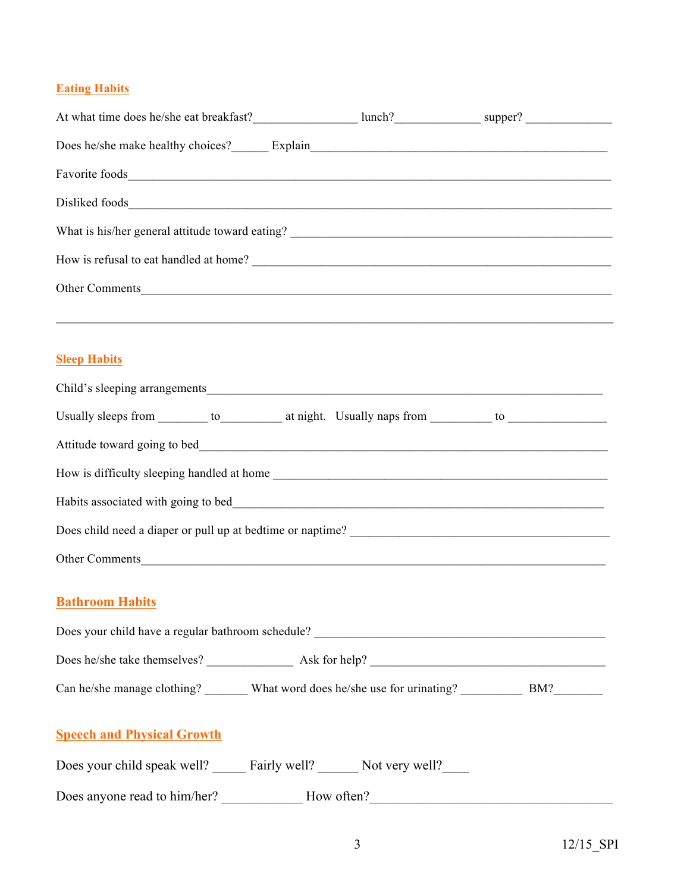## **Eating Habits**

| Does he/she make healthy choices? Explain Explain                                                        |  |  |
|----------------------------------------------------------------------------------------------------------|--|--|
|                                                                                                          |  |  |
|                                                                                                          |  |  |
|                                                                                                          |  |  |
| How is refusal to eat handled at home?                                                                   |  |  |
| Other Comments                                                                                           |  |  |
|                                                                                                          |  |  |
|                                                                                                          |  |  |
| <b>Sleep Habits</b>                                                                                      |  |  |
|                                                                                                          |  |  |
| Usually sleeps from _________ to ___________ at night. Usually naps from __________ to _____________     |  |  |
|                                                                                                          |  |  |
|                                                                                                          |  |  |
|                                                                                                          |  |  |
|                                                                                                          |  |  |
| Other Comments                                                                                           |  |  |
|                                                                                                          |  |  |
| <b>Bathroom Habits</b>                                                                                   |  |  |
|                                                                                                          |  |  |
|                                                                                                          |  |  |
| Can he/she manage clothing? ________ What word does he/she use for urinating? ____________ BM?__________ |  |  |
|                                                                                                          |  |  |
| <b>Speech and Physical Growth</b>                                                                        |  |  |
| Does your child speak well? ______ Fairly well? _______ Not very well? ______                            |  |  |
|                                                                                                          |  |  |
|                                                                                                          |  |  |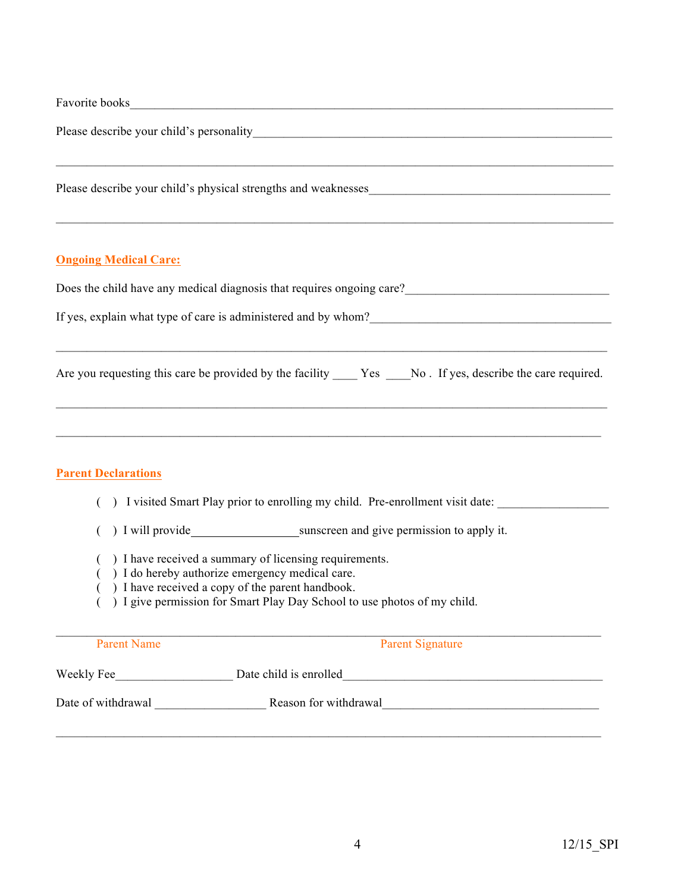|                              | Favorite books <b>Example 20</b> Favorite books <b>Example 20</b> Favorite books <b>Example 20</b> Favorite books <b>Example 20</b> Favorite books <b>Example 20</b> Favorite books <b>Example 20</b> Favorite books <b>Example 20</b> Favorite books <b>Example 20</b> |
|------------------------------|-------------------------------------------------------------------------------------------------------------------------------------------------------------------------------------------------------------------------------------------------------------------------|
|                              |                                                                                                                                                                                                                                                                         |
|                              | Please describe your child's physical strengths and weaknesses                                                                                                                                                                                                          |
| <b>Ongoing Medical Care:</b> |                                                                                                                                                                                                                                                                         |
|                              | Does the child have any medical diagnosis that requires ongoing care?<br><u>Letting</u> the child have any medical diagnosis that requires ongoing care?<br><u>Letting the contract of the contract of the contract of the contract of th</u>                           |
|                              | If yes, explain what type of care is administered and by whom?                                                                                                                                                                                                          |
|                              | Are you requesting this care be provided by the facility ______Yes _____No. If yes, describe the care required.                                                                                                                                                         |
| <b>Parent Declarations</b>   | ,我们也不会有什么。""我们的人,我们也不会有什么?""我们的人,我们也不会有什么?""我们的人,我们也不会有什么?""我们的人,我们也不会有什么?""我们的人                                                                                                                                                                                        |
|                              | I visited Smart Play prior to enrolling my child. Pre-enrollment visit date:                                                                                                                                                                                            |
|                              | ) I will provide sunscreen and give permission to apply it.                                                                                                                                                                                                             |
|                              | ) I have received a summary of licensing requirements.<br>() I do hereby authorize emergency medical care.<br>) I have received a copy of the parent handbook.<br>() I give permission for Smart Play Day School to use photos of my child.                             |
| <b>Parent Name</b>           | <b>Parent Signature</b>                                                                                                                                                                                                                                                 |
|                              |                                                                                                                                                                                                                                                                         |
|                              |                                                                                                                                                                                                                                                                         |